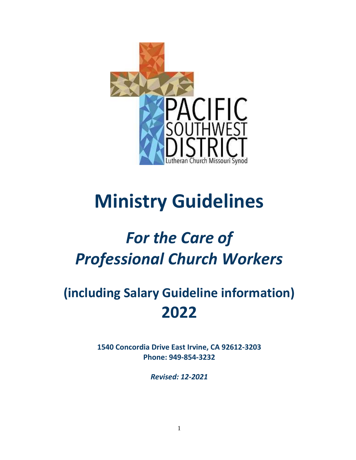

# **Ministry Guidelines**

## *For the Care of Professional Church Workers*

### **(including Salary Guideline information) 2022**

**1540 Concordia Drive East Irvine, CA 92612-3203 Phone: 949-854-3232**

*Revised: 12-2021*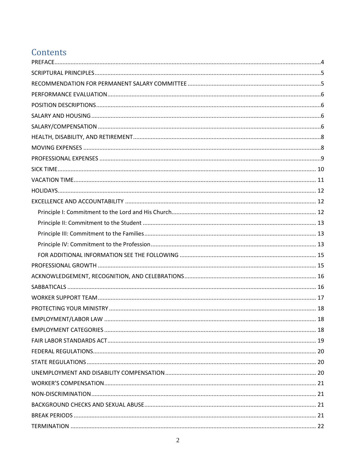### Contents

| 18 |
|----|
|    |
|    |
|    |
|    |
|    |
|    |
|    |
|    |
|    |
|    |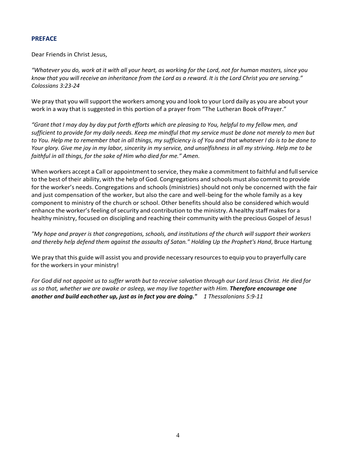#### <span id="page-3-0"></span>**PREFACE**

Dear Friends in Christ Jesus,

*"Whatever you do, work at it with all your heart, as working for the Lord, not for human masters, since you know that you will receive an inheritance from the Lord as a reward. It is the Lord Christ you are serving." Colossians 3:23-24*

We pray that you will support the workers among you and look to your Lord daily as you are about your work in a way that is suggested in this portion of a prayer from "The Lutheran Book ofPrayer."

*"Grant that I may day by day put forth efforts which are pleasing to You, helpful to my fellow men, and sufficient to provide for my daily needs. Keep me mindful that my service must be done not merely to men but*  to You. Help me to remember that in all things, my sufficiency is of You and that whatever I do is to be done to *Your glory. Give me joy in my labor, sincerity in my service, and unselfishness in all my striving. Help me to be faithful in all things, for the sake of Him who died for me." Amen.* 

When workers accept a Call or appointment to service, they make a commitment to faithful and full service to the best of their ability, with the help of God. Congregations and schools must also commit to provide for the worker's needs. Congregations and schools (ministries) should not only be concerned with the fair and just compensation of the worker, but also the care and well-being for the whole family as a key component to ministry of the church or school. Other benefits should also be considered which would enhance the worker's feeling of security and contribution to the ministry. A healthy staff makes for a healthy ministry, focused on discipling and reaching their community with the precious Gospel of Jesus!

*"My hope and prayer is that congregations, schools, and institutions of the church will support their workers and thereby help defend them against the assaults of Satan." Holding Up the Prophet's Hand*, Bruce Hartung

We pray that this guide will assist you and provide necessary resources to equip you to prayerfully care for the workers in your ministry!

*For God did not appoint us to suffer wrath but to receive salvation through our Lord Jesus Christ. He died for us so that, whether we are awake or asleep, we may live together with Him. Therefore encourage one another and build each other up, just as in fact you are doing." 1 Thessalonians 5:9-11*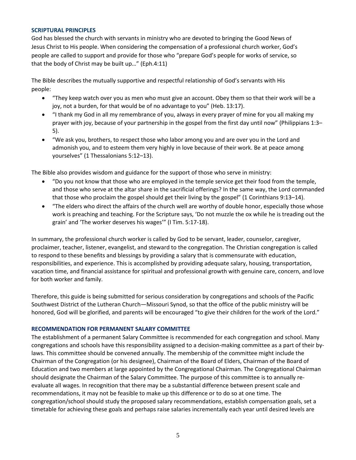#### <span id="page-4-0"></span>**SCRIPTURAL PRINCIPLES**

God has blessed the church with servants in ministry who are devoted to bringing the Good News of Jesus Christ to His people. When considering the compensation of a professional church worker, God's people are called to support and provide for those who "prepare God's people for works of service, so that the body of Christ may be built up…" (Eph.4:11)

The Bible describes the mutually supportive and respectful relationship of God's servants with His people:

- "They keep watch over you as men who must give an account. Obey them so that their work will be a joy, not a burden, for that would be of no advantage to you" (Heb. 13:17).
- "I thank my God in all my remembrance of you, always in every prayer of mine for you all making my prayer with joy, because of your partnership in the gospel from the first day until now" (Philippians 1:3– 5).
- "We ask you, brothers, to respect those who labor among you and are over you in the Lord and admonish you, and to esteem them very highly in love because of their work. Be at peace among yourselves" (1 Thessalonians 5:12–13).

The Bible also provides wisdom and guidance for the support of those who serve in ministry:

- "Do you not know that those who are employed in the temple service get their food from the temple, and those who serve at the altar share in the sacrificial offerings? In the same way, the Lord commanded that those who proclaim the gospel should get their living by the gospel" (1 Corinthians 9:13–14).
- "The elders who direct the affairs of the church well are worthy of double honor, especially those whose work is preaching and teaching. For the Scripture says, 'Do not muzzle the ox while he is treading out the grain' and 'The worker deserves his wages'" (I Tim. 5:17-18).

In summary, the professional church worker is called by God to be servant, leader, counselor, caregiver, proclaimer, teacher, listener, evangelist, and steward to the congregation. The Christian congregation is called to respond to these benefits and blessings by providing a salary that is commensurate with education, responsibilities, and experience. This is accomplished by providing adequate salary, housing, transportation, vacation time, and financial assistance for spiritual and professional growth with genuine care, concern, and love for both worker and family.

Therefore, this guide is being submitted for serious consideration by congregations and schools of the Pacific Southwest District of the Lutheran Church—Missouri Synod, so that the office of the public ministry will be honored, God will be glorified, and parents will be encouraged "to give their children for the work of the Lord."

#### <span id="page-4-1"></span>**RECOMMENDATION FOR PERMANENT SALARY COMMITTEE**

The establishment of a permanent Salary Committee is recommended for each congregation and school. Many congregations and schools have this responsibility assigned to a decision-making committee as a part of their bylaws. This committee should be convened annually. The membership of the committee might include the Chairman of the Congregation (or his designee), Chairman of the Board of Elders, Chairman of the Board of Education and two members at large appointed by the Congregational Chairman. The Congregational Chairman should designate the Chairman of the Salary Committee. The purpose of this committee is to annually reevaluate all wages. In recognition that there may be a substantial difference between present scale and recommendations, it may not be feasible to make up this difference or to do so at one time. The congregation/school should study the proposed salary recommendations, establish compensation goals, set a timetable for achieving these goals and perhaps raise salaries incrementally each year until desired levels are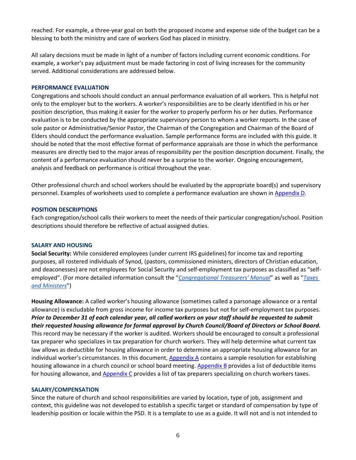reached. For example, a three-year goal on both the proposed income and expense side of the budget can be a blessing to both the ministry and care of workers God has placed in ministry.

All salary decisions must be made in light of a number of factors including current economic conditions. For example, a worker's pay adjustment must be made factoring in cost of living increases for the community served. Additional considerations are addressed below.

#### <span id="page-5-0"></span>**PERFORMANCE EVALUATION**

Congregations and schools should conduct an annual performance evaluation of all workers. This is helpful not only to the employer but to the workers. A worker's responsibilities are to be clearly identified in his or her position description, thus making it easier for the worker to properly perform his or her duties. Performance evaluation is to be conducted by the appropriate supervisory person to whom a worker reports. In the case of sole pastor or Administrative/Senior Pastor, the Chairman of the Congregation and Chairman of the Board of Elders should conduct the performance evaluation. Sample performance forms are included with this guide. It should be noted that the most effective format of performance appraisals are those in which the performance measures are directly tied to the major areas of responsibility per the position description document. Finally, the content of a performance evaluation should never be a surprise to the worker. Ongoing encouragement, analysis and feedback on performance is critical throughout the year.

Other professional church and school workers should be evaluated by the appropriate board(s) and supervisory personnel. Examples of worksheets used to complete a performance evaluation are shown i[n Appendix](#page-25-0) D.

#### <span id="page-5-1"></span>**POSITION DESCRIPTIONS**

Each congregation/school calls their workers to meet the needs of their particular congregation/school. Position descriptions should therefore be reflective of actual assigned duties.

#### <span id="page-5-2"></span>**SALARY AND HOUSING**

**Social Security:** While considered employees (under current IRS guidelines) for income tax and reporting purposes, all rostered individuals of Synod, (pastors, commissioned ministers, directors of Christian education, and deaconesses) are not employees for Social Security and self-employment tax purposes as classified as "selfemployed". (For more detailed information consult the "*[Congregational Treasurers' Manual](http://www.lcms.org/resources/ctmanual)*" as well as "*[Taxes](https://files.lcms.org/wl/?id=WGlb8FgwaYF7nGuS4f54OoLYdKPXbmIF)  [and Ministers](https://files.lcms.org/wl/?id=WGlb8FgwaYF7nGuS4f54OoLYdKPXbmIF)*")

**Housing Allowance:** A called worker's housing allowance (sometimes called a parsonage allowance or a rental allowance) is excludable from gross income for income tax purposes but not for self-employment tax purposes. *Prior to December 31 of each calendar year, all called workers on your staff should be requested to submit their requested housing allowance for formal approval by Church Council/Board of Directors or School Board.* This record may be necessary if the worker is audited. Workers should be encouraged to consult a professional tax preparer who specializes in tax preparation for church workers. They will help determine what current tax law allows as deductible for housing allowance in order to determine an appropriate housing allowance for an individual worker's circumstances. In this document, [Appendix A](#page-22-0) contains a sample resolution for establishing housing allowance in a church council or school board meeting. [Appendix B](#page-23-0) provides a list of deductible items for housing allowance, and [Appendix C](#page-24-0) provides a list of tax preparers specializing on church workers taxes.

#### <span id="page-5-3"></span>**SALARY/COMPENSATION**

Since the nature of church and school responsibilities are varied by location, type of job, assignment and context, this guideline was not developed to establish a specific target or standard of compensation by type of leadership position or locale within the PSD. It is a template to use as a guide. It will not and is not intended to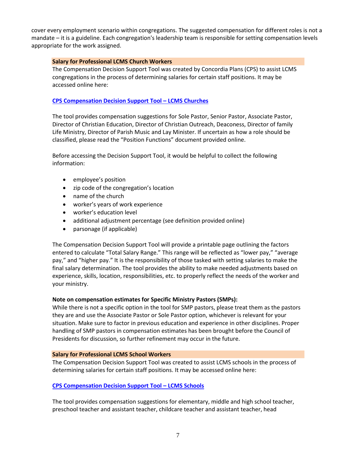cover every employment scenario within congregations. The suggested compensation for different roles is not a mandate – it is a guideline. Each congregation's leadership team is responsible for setting compensation levels appropriate for the work assigned.

#### **Salary for Professional LCMS Church Workers**

The Compensation Decision Support Tool was created by Concordia Plans (CPS) to assist LCMS congregations in the process of determining salaries for certain staff positions. It may be accessed online here:

#### **[CPS Compensation Decision Support Tool](https://tc.cbiz.com/CompToolCPS/Login.aspx) – LCMS Churches**

The tool provides compensation suggestions for Sole Pastor, Senior Pastor, Associate Pastor, Director of Christian Education, Director of Christian Outreach, Deaconess, Director of family Life Ministry, Director of Parish Music and Lay Minister. If uncertain as how a role should be classified, please read the "Position Functions" document provided online.

Before accessing the Decision Support Tool, it would be helpful to collect the following information:

- employee's position
- zip code of the congregation's location
- name of the church
- worker's years of work experience
- worker's education level
- additional adjustment percentage (see definition provided online)
- parsonage (if applicable)

The Compensation Decision Support Tool will provide a printable page outlining the factors entered to calculate "Total Salary Range." This range will be reflected as "lower pay," "average pay," and "higher pay." It is the responsibility of those tasked with setting salaries to make the final salary determination. The tool provides the ability to make needed adjustments based on experience, skills, location, responsibilities, etc. to properly reflect the needs of the worker and your ministry.

#### **Note on compensation estimates for Specific Ministry Pastors (SMPs):**

While there is not a specific option in the tool for SMP pastors, please treat them as the pastors they are and use the Associate Pastor or Sole Pastor option, whichever is relevant for your situation. Make sure to factor in previous education and experience in other disciplines. Proper handling of SMP pastors in compensation estimates has been brought before the Council of Presidents for discussion, so further refinement may occur in the future.

#### **Salary for Professional LCMS School Workers**

The Compensation Decision Support Tool was created to assist LCMS schools in the process of determining salaries for certain staff positions. It may be accessed online here:

#### **[CPS Compensation Decision Support Tool](https://tc.cbiz.com/CompToolCPSEd/Login.aspx) – LCMS Schools**

The tool provides compensation suggestions for elementary, middle and high school teacher, preschool teacher and assistant teacher, childcare teacher and assistant teacher, head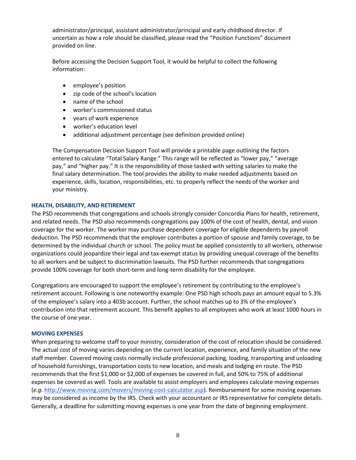administrator/principal, assistant administrator/principal and early childhood director. If uncertain as how a role should be classified, please read the "Position Functions" document provided on line.

Before accessing the Decision Support Tool, it would be helpful to collect the following information:

- employee's position
- zip code of the school's location
- name of the school
- worker's commissioned status
- years of work experience
- worker's education level
- additional adjustment percentage (see definition provided online)

The Compensation Decision Support Tool will provide a printable page outlining the factors entered to calculate "Total Salary Range." This range will be reflected as "lower pay," "average pay," and "higher pay." It is the responsibility of those tasked with setting salaries to make the final salary determination. The tool provides the ability to make needed adjustments based on experience, skills, location, responsibilities, etc. to properly reflect the needs of the worker and your ministry.

#### <span id="page-7-0"></span>**HEALTH, DISABILITY, AND RETIREMENT**

The PSD recommends that congregations and schools strongly consider Concordia Plans for health, retirement, and related needs. The PSD also recommends congregations pay 100% of the cost of health, dental, and vision coverage for the worker. The worker may purchase dependent coverage for eligible dependents by payroll deduction. The PSD recommends that the employer contributes a portion of spouse and family coverage, to be determined by the individual church or school. The policy must be applied consistently to all workers, otherwise organizations could jeopardize their legal and tax-exempt status by providing unequal coverage of the benefits to all workers and be subject to discrimination lawsuits. The PSD further recommends that congregations provide 100% coverage for both short-term and long-term disability for the employee.

Congregations are encouraged to support the employee's retirement by contributing to the employee's retirement account. Following is one noteworthy example: One PSD high schools pays an amount equal to 5.3% of the employee's salary into a 403b account. Further, the school matches up to 3% of the employee's contribution into that retirement account. This benefit applies to all employees who work at least 1000 hours in the course of one year.

#### <span id="page-7-1"></span>**MOVING EXPENSES**

When preparing to welcome staff to your ministry, consideration of the cost of relocation should be considered. The actual cost of moving varies depending on the current location, experience, and family situation of the new staff member. Covered moving costs normally include professional packing, loading, transporting and unloading of household furnishings, transportation costs to new location, and meals and lodging en route. The PSD recommends that the first \$1,000 or \$2,000 of expenses be covered in full, and 50% to 75% of additional expenses be covered as well. Tools are available to assist employers and employees calculate moving expenses (*e.g.* [http://www.moving.com/movers/moving-cost-calculator.asp\)](http://www.moving.com/movers/moving-cost-calculator.asp). Reimbursement for some moving expenses may be considered as income by the IRS. Check with your accountant or IRS representative for complete details. Generally, a deadline for submitting moving expenses is one year from the date of beginning employment.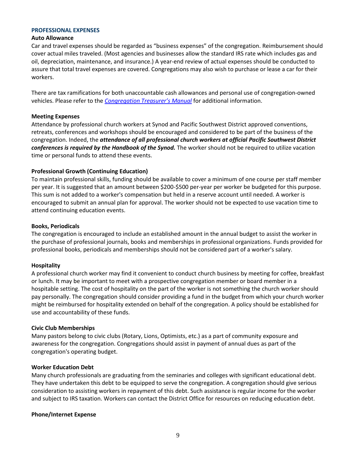#### <span id="page-8-0"></span>**PROFESSIONAL EXPENSES**

#### **Auto Allowance**

Car and travel expenses should be regarded as "business expenses" of the congregation. Reimbursement should cover actual miles traveled. (Most agencies and businesses allow the standard IRS rate which includes gas and oil, depreciation, maintenance, and insurance.) A year-end review of actual expenses should be conducted to assure that total travel expenses are covered. Congregations may also wish to purchase or lease a car for their workers.

There are tax ramifications for both unaccountable cash allowances and personal use of congregation-owned vehicles. Please refer to the *Congregation T[reasurer's Manual](https://www.lcms.org/ctm)* for additional information.

#### **Meeting Expenses**

Attendance by professional church workers at Synod and Pacific Southwest District approved conventions, retreats, conferences and workshops should be encouraged and considered to be part of the business of the congregation. Indeed, the *attendance of all professional church workers at official Pacific Southwest District conferences is required by the Handbook of the Synod.* The worker should not be required to utilize vacation time or personal funds to attend these events.

#### **Professional Growth (Continuing Education)**

To maintain professional skills, funding should be available to cover a minimum of one course per staff member per year. It is suggested that an amount between \$200-\$500 per-year per worker be budgeted for this purpose. This sum is not added to a worker's compensation but held in a reserve account until needed. A worker is encouraged to submit an annual plan for approval. The worker should not be expected to use vacation time to attend continuing education events.

#### **Books, Periodicals**

The congregation is encouraged to include an established amount in the annual budget to assist the worker in the purchase of professional journals, books and memberships in professional organizations. Funds provided for professional books, periodicals and memberships should not be considered part of a worker's salary.

#### **Hospitality**

A professional church worker may find it convenient to conduct church business by meeting for coffee, breakfast or lunch. It may be important to meet with a prospective congregation member or board member in a hospitable setting. The cost of hospitality on the part of the worker is not something the church worker should pay personally. The congregation should consider providing a fund in the budget from which your church worker might be reimbursed for hospitality extended on behalf of the congregation. A policy should be established for use and accountability of these funds.

#### **Civic Club Memberships**

Many pastors belong to civic clubs (Rotary, Lions, Optimists, etc.) as a part of community exposure and awareness for the congregation. Congregations should assist in payment of annual dues as part of the congregation's operating budget.

#### **Worker Education Debt**

Many church professionals are graduating from the seminaries and colleges with significant educational debt. They have undertaken this debt to be equipped to serve the congregation. A congregation should give serious consideration to assisting workers in repayment of this debt. Such assistance is regular income for the worker and subject to IRS taxation. Workers can contact the District Office for resources on reducing education debt.

#### **Phone/Internet Expense**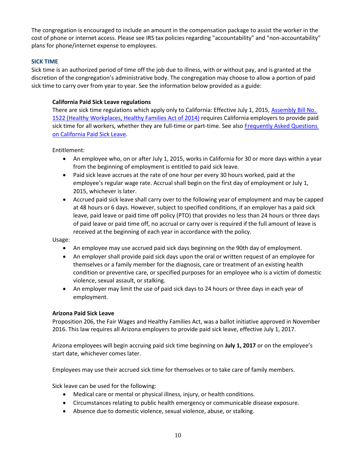The congregation is encouraged to include an amount in the compensation package to assist the worker in the cost of phone or internet access. Please see IRS tax policies regarding "accountability" and "non-accountability" plans for phone/internet expense to employees.

#### <span id="page-9-0"></span>**SICK TIME**

Sick time is an authorized period of time off the job due to illness, with or without pay, and is granted at the discretion of the congregation's administrative body. The congregation may choose to allow a portion of paid sick time to carry over from year to year. See the information below provided as a guide:

#### **California Paid Sick Leave regulations**

There are sick time regulations which apply only to California: Effective July 1, 2015[, Assembly Bill No.](https://www.dir.ca.gov/dlse/ab1522.html)  [1522 \(Healthy Workplaces, Healthy Families Act of 2014\)](https://www.dir.ca.gov/dlse/ab1522.html) requires California employers to provide paid sick time for all workers, whether they are full-time or part-time. See als[o Frequently Asked Questions](https://www.dir.ca.gov/dlse/paid_sick_leave.htm)  [on California Paid Sick Leave.](https://www.dir.ca.gov/dlse/paid_sick_leave.htm)

Entitlement:

- An employee who, on or after July 1, 2015, works in California for 30 or more days within a year from the beginning of employment is entitled to paid sick leave.
- Paid sick leave accrues at the rate of one hour per every 30 hours worked, paid at the employee's regular wage rate. Accrual shall begin on the first day of employment or July 1, 2015, whichever is later.
- Accrued paid sick leave shall carry over to the following year of employment and may be capped at 48 hours or 6 days. However, subject to specified conditions, if an employer has a paid sick leave, paid leave or paid time off policy (PTO) that provides no less than 24 hours or three days of paid leave or paid time off, no accrual or carry over is required if the full amount of leave is received at the beginning of each year in accordance with the policy.

Usage:

- An employee may use accrued paid sick days beginning on the 90th day of employment.
- An employer shall provide paid sick days upon the oral or written request of an employee for themselves or a family member for the diagnosis, care or treatment of an existing health condition or preventive care, or specified purposes for an employee who is a victim of domestic violence, sexual assault, or stalking.
- An employer may limit the use of paid sick days to 24 hours or three days in each year of employment.

#### **Arizona Paid Sick Leave**

Proposition 206, the Fair Wages and Healthy Families Act, was a ballot initiative approved in November 2016. This law requires all Arizona employers to provide paid sick leave, effective July 1, 2017.

Arizona employees will begin accruing paid sick time beginning on **July 1, 2017** or on the employee's start date, whichever comes later.

Employees may use their accrued sick time for themselves or to take care of family members.

Sick leave can be used for the following:

- Medical care or mental or physical illness, injury, or health conditions.
- Circumstances relating to public health emergency or communicable disease exposure.
- Absence due to domestic violence, sexual violence, abuse, or stalking.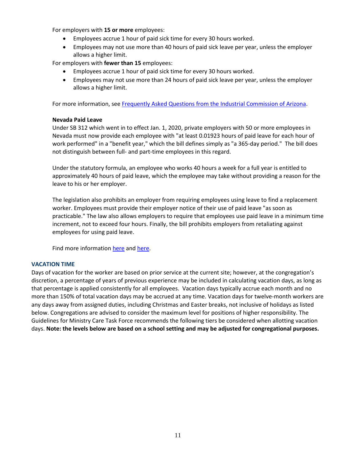For employers with **15 or more** employees:

- Employees accrue 1 hour of paid sick time for every 30 hours worked.
- Employees may not use more than 40 hours of paid sick leave per year, unless the employer allows a higher limit.

For employers with **fewer than 15** employees:

- Employees accrue 1 hour of paid sick time for every 30 hours worked.
- Employees may not use more than 24 hours of paid sick leave per year, unless the employer allows a higher limit.

For more information, se[e Frequently Asked Questions from the Industrial Commission of Arizona.](https://www.azica.gov/frequently-asked-questions-about-wage-and-earned-paid-sick-time-laws)

#### **Nevada Paid Leave**

Under SB 312 which went in to effect Jan. 1, 2020, private employers with 50 or more employees in Nevada must now provide each employee with "at least 0.01923 hours of paid leave for each hour of work performed" in a "benefit year," which the bill defines simply as "a 365-day period." The bill does not distinguish between full- and part-time employees in this regard.

Under the statutory formula, an employee who works 40 hours a week for a full year is entitled to approximately 40 hours of paid leave, which the employee may take without providing a reason for the leave to his or her employer.

The legislation also prohibits an employer from requiring employees using leave to find a replacement worker. Employees must provide their employer notice of their use of paid leave "as soon as practicable." The law also allows employers to require that employees use paid leave in a minimum time increment, not to exceed four hours. Finally, the bill prohibits employers from retaliating against employees for using paid leave.

Find more informatio[n here](http://labor.nv.gov/uploadedFiles/labornvgov/content/Employer/SB%20312%20Paid%20Leave%20English.pdf) and [here.](https://www.shrm.org/resourcesandtools/legal-and-compliance/state-and-local-updates/pages/paid-leave-soon-to-be-required-in-nevada.aspx)

#### <span id="page-10-0"></span>**VACATION TIME**

Days of vacation for the worker are based on prior service at the current site; however, at the congregation's discretion, a percentage of years of previous experience may be included in calculating vacation days, as long as that percentage is applied consistently for all employees. Vacation days typically accrue each month and no more than 150% of total vacation days may be accrued at any time. Vacation days for twelve-month workers are any days away from assigned duties, including Christmas and Easter breaks, not inclusive of holidays as listed below. Congregations are advised to consider the maximum level for positions of higher responsibility. The Guidelines for Ministry Care Task Force recommends the following tiers be considered when allotting vacation days. **Note: the levels below are based on a school setting and may be adjusted for congregational purposes.**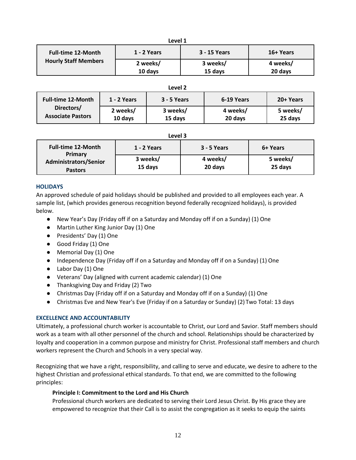| Level 1                     |             |              |           |
|-----------------------------|-------------|--------------|-----------|
| <b>Full-time 12-Month</b>   | 1 - 2 Years | 3 - 15 Years | 16+ Years |
| <b>Hourly Staff Members</b> | 2 weeks/    | 3 weeks/     | 4 weeks/  |
|                             | 10 days     | 15 days      | 20 days   |

#### **Level 2 Full-time 12-Month Directors/ Associate Pastors 1 - 2 Years 3 - 5 Years 6-19 Years 20+ Years 2 weeks/ 10 days 3 weeks/ 15 days 4 weeks/ 20 days 5 weeks/ 25 days**

**Level 3**

| <b>Full-time 12-Month</b><br>Primary<br><b>Administrators/Senior</b><br><b>Pastors</b> | 1 - 2 Years         | 3 - 5 Years         | 6+ Years            |
|----------------------------------------------------------------------------------------|---------------------|---------------------|---------------------|
|                                                                                        | 3 weeks/<br>15 days | 4 weeks/<br>20 days | 5 weeks/<br>25 days |

#### <span id="page-11-0"></span>**HOLIDAYS**

An approved schedule of paid holidays should be published and provided to all employees each year. A sample list, (which provides generous recognition beyond federally recognized holidays), is provided below.

- New Year's Day (Friday off if on a Saturday and Monday off if on a Sunday) (1) One
- Martin Luther King Junior Day (1) One
- Presidents' Day (1) One
- Good Friday (1) One
- Memorial Day (1) One
- Independence Day (Friday off if on a Saturday and Monday off if on a Sunday) (1) One
- Labor Day (1) One
- Veterans' Day (aligned with current academic calendar) (1) One
- Thanksgiving Day and Friday (2) Two
- Christmas Day (Friday off if on a Saturday and Monday off if on a Sunday) (1) One
- Christmas Eve and New Year's Eve (Friday if on a Saturday or Sunday) (2) Two Total: 13 days

#### <span id="page-11-1"></span>**EXCELLENCE AND ACCOUNTABILITY**

Ultimately, a professional church worker is accountable to Christ, our Lord and Savior. Staff members should work as a team with all other personnel of the church and school. Relationships should be characterized by loyalty and cooperation in a common purpose and ministry for Christ. Professional staff members and church workers represent the Church and Schools in a very special way.

Recognizing that we have a right, responsibility, and calling to serve and educate, we desire to adhere to the highest Christian and professional ethical standards. To that end, we are committed to the following principles:

#### <span id="page-11-2"></span>**Principle I: Commitment to the Lord and His Church**

Professional church workers are dedicated to serving their Lord Jesus Christ. By His grace they are empowered to recognize that their Call is to assist the congregation as it seeks to equip the saints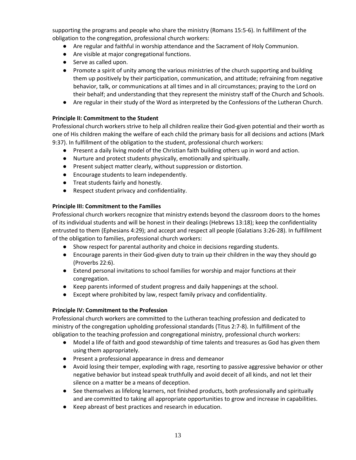supporting the programs and people who share the ministry (Romans 15:5-6). In fulfillment of the obligation to the congregation, professional church workers:

- Are regular and faithful in worship attendance and the Sacrament of Holy Communion.
- Are visible at major congregational functions.
- Serve as called upon.
- Promote a spirit of unity among the various ministries of the church supporting and building them up positively by their participation, communication, and attitude; refraining from negative behavior, talk, or communications at all times and in all circumstances; praying to the Lord on their behalf; and understanding that they represent the ministry staff of the Church and Schools.
- Are regular in their study of the Word as interpreted by the Confessions of the Lutheran Church.

#### <span id="page-12-0"></span>**Principle II: Commitment to the Student**

Professional church workers strive to help all children realize their God-given potential and their worth as one of His children making the welfare of each child the primary basis for all decisions and actions (Mark 9:37). In fulfillment of the obligation to the student, professional church workers:

- Present a daily living model of the Christian faith building others up in word and action.
- Nurture and protect students physically, emotionally and spiritually.
- Present subject matter clearly, without suppression or distortion.
- Encourage students to learn independently.
- Treat students fairly and honestly.
- Respect student privacy and confidentiality.

#### <span id="page-12-1"></span>**Principle III: Commitment to the Families**

Professional church workers recognize that ministry extends beyond the classroom doors to the homes of its individual students and will be honest in their dealings (Hebrews 13:18); keep the confidentiality entrusted to them (Ephesians 4:29); and accept and respect all people (Galatians 3:26-28). In fulfillment of the obligation to families, professional church workers:

- Show respect for parental authority and choice in decisions regarding students.
- Encourage parents in their God-given duty to train up their children in the way they should go (Proverbs 22:6).
- Extend personal invitations to school families for worship and major functions at their congregation.
- Keep parents informed of student progress and daily happenings at the school.
- Except where prohibited by law, respect family privacy and confidentiality.

#### <span id="page-12-2"></span>**Principle IV: Commitment to the Profession**

Professional church workers are committed to the Lutheran teaching profession and dedicated to ministry of the congregation upholding professional standards (Titus 2:7-8). In fulfillment of the obligation to the teaching profession and congregational ministry, professional church workers:

- Model a life of faith and good stewardship of time talents and treasures as God has given them using them appropriately.
- Present a professional appearance in dress and demeanor
- Avoid losing their temper, exploding with rage, resorting to passive aggressive behavior or other negative behavior but instead speak truthfully and avoid deceit of all kinds, and not let their silence on a matter be a means of deception.
- See themselves as lifelong learners, not finished products, both professionally and spiritually and are committed to taking all appropriate opportunities to grow and increase in capabilities.
- Keep abreast of best practices and research in education.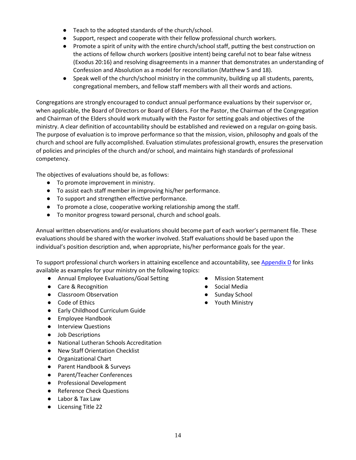- Teach to the adopted standards of the church/school.
- Support, respect and cooperate with their fellow professional church workers.
- Promote a spirit of unity with the entire church/school staff, putting the best construction on the actions of fellow church workers (positive intent) being careful not to bear false witness (Exodus 20:16) and resolving disagreements in a manner that demonstrates an understanding of Confession and Absolution as a model for reconciliation (Matthew 5 and 18).
- Speak well of the church/school ministry in the community, building up all students, parents, congregational members, and fellow staff members with all their words and actions.

Congregations are strongly encouraged to conduct annual performance evaluations by their supervisor or, when applicable, the Board of Directors or Board of Elders. For the Pastor, the Chairman of the Congregation and Chairman of the Elders should work mutually with the Pastor for setting goals and objectives of the ministry. A clear definition of accountability should be established and reviewed on a regular on-going basis. The purpose of evaluation is to improve performance so that the mission, vision, philosophy and goals of the church and school are fully accomplished. Evaluation stimulates professional growth, ensures the preservation of policies and principles of the church and/or school, and maintains high standards of professional competency.

The objectives of evaluations should be, as follows:

- To promote improvement in ministry.
- To assist each staff member in improving his/her performance.
- To support and strengthen effective performance.
- To promote a close, cooperative working relationship among the staff.
- To monitor progress toward personal, church and school goals.

Annual written observations and/or evaluations should become part of each worker's permanent file. These evaluations should be shared with the worker involved. Staff evaluations should be based upon the individual's position description and, when appropriate, his/her performance goals for the year.

To support professional church workers in attaining excellence and accountability, se[e Appendix D](#page-25-0) for links available as examples for your ministry on the following topics:

- Annual Employee Evaluations/Goal Setting
- Care & Recognition
- Classroom Observation
- Code of Ethics
- Early Childhood Curriculum Guide
- Employee Handbook
- Interview Questions
- Job Descriptions
- National Lutheran Schools Accreditation
- New Staff Orientation Checklist
- Organizational Chart
- Parent Handbook & Surveys
- Parent/Teacher Conferences
- Professional Development
- Reference Check Questions
- Labor & Tax Law
- Licensing Title 22
- Mission Statement
- Social Media
- Sunday School
- Youth Ministry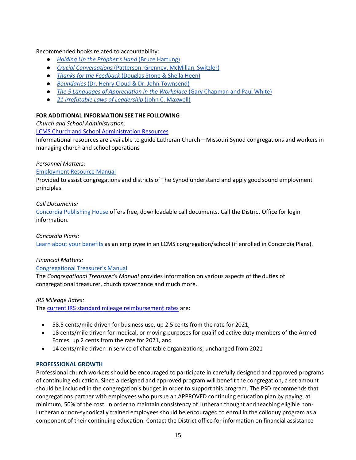#### Recommended books related to accountability:

- *[Holding Up the Prophet's Han](https://www.cph.org/p-7269-holding-up-the-prophets-hand-supporting-church-workers.aspx)d* [\(Bruce Hartung\)](https://www.cph.org/p-7269-holding-up-the-prophets-hand-supporting-church-workers.aspx)
- *[Crucial Conversations](https://www.amazon.com/Crucial-Conversations-Talking-Stakes-Second/dp/0071771328/ref%3Dmt_paperback?_encoding=UTF8&me)* [\(Patterson, Grenney, McMillan, Switzler\)](https://www.amazon.com/Crucial-Conversations-Talking-Stakes-Second/dp/0071771328/ref%3Dmt_paperback?_encoding=UTF8&me)
- *[Thanks for the Feedback](https://www.amazon.com/Thanks-Feedback-Science-Receiving-Well/dp/0143127136/ref%3Dsr_1_1_twi_pap_2?s=books&ie=UTF8&qid=1476740349&sr=1-1&keywords=thanks%2Bfor%2Bthe%2Bfeedback)* [\(Douglas Stone & Sheila Heen\)](https://www.amazon.com/Thanks-Feedback-Science-Receiving-Well/dp/0143127136/ref%3Dsr_1_1_twi_pap_2?s=books&ie=UTF8&qid=1476740349&sr=1-1&keywords=thanks%2Bfor%2Bthe%2Bfeedback)
- *[Boundaries](https://www.amazon.com/Boundaries-When-Say-Yes-How-ebook/dp/B000FC2K9W/ref%3Dsr_1_1?s=books&ie=UTF8&qid=1476740375&sr=1-1&keywords=boundaries)* [\(Dr. Henry Cloud & Dr. John Townsend\)](https://www.amazon.com/Boundaries-When-Say-Yes-How-ebook/dp/B000FC2K9W/ref%3Dsr_1_1?s=books&ie=UTF8&qid=1476740375&sr=1-1&keywords=boundaries)
- *[The 5 Languages of Appreciation in the Workplace](https://www.amazon.com/Languages-Appreciation-Workplace-Organizations-Encouraging/dp/080246176X/ref%3Dsr_1_1_twi_pap_2?s=books&ie=UTF8&qid=1476740397&sr=1-1&keywords=The%2B5%2BLanguages%2Bof%2BAppreciation%2Bin%2Bthe%2BWorkplace)* [\(Gary Chapman and Paul White\)](https://www.amazon.com/Languages-Appreciation-Workplace-Organizations-Encouraging/dp/080246176X/ref%3Dsr_1_1_twi_pap_2?s=books&ie=UTF8&qid=1476740397&sr=1-1&keywords=The%2B5%2BLanguages%2Bof%2BAppreciation%2Bin%2Bthe%2BWorkplace)
- *[21 Irrefutable Laws of Leadership](https://www.amazon.com/21-Irrefutable-Laws-Leadership-Anniversary/dp/0785288376/ref%3Dsr_1_1_twi_har_2?s=books&ie=UTF8&qid=1476740418&sr=1-1&keywords=21%2BIrrefutable%2BLaws%2Bof%2BLeadership)* [\(John C. Maxwell\)](https://www.amazon.com/21-Irrefutable-Laws-Leadership-Anniversary/dp/0785288376/ref%3Dsr_1_1_twi_har_2?s=books&ie=UTF8&qid=1476740418&sr=1-1&keywords=21%2BIrrefutable%2BLaws%2Bof%2BLeadership)

#### <span id="page-14-0"></span>**FOR ADDITIONAL INFORMATION SEE THE FOLLOWING**

*Church and School Administration:*

[LCMS Church and School Administration Resources](https://www.lcms.org/resources/church-and-school-administration)

Informational resources are available to guide Lutheran Church—Missouri Synod congregations and workers in managing church and school operations

#### *Personnel Matters:*

#### [Employment Resource Manual](http://www.lcms.org/Document.fdoc?src=lcm&id=1188)

Provided to assist congregations and districts of The Synod understand and apply good sound employment principles.

*Call Documents:*

[Concordia Publishing House](http://sites.cph.org/calls/faq.asp) offers free, downloadable call documents. Call the District Office for login information.

#### *Concordia Plans:*

[Learn about your benefits](http://www.concordiaplans.org/) as an employee in an LCMS congregation/school (if enrolled in Concordia Plans).

#### *Financial Matters:*

#### [Congregational Treasurer's Manual](http://www.lcms.org/resources/ctmanual)

The *Congregational Treasurer's Manual* provides information on various aspects of the duties of congregational treasurer, church governance and much more.

*IRS Mileage Rates:*

The [current IRS standard mileage reimbursement rates](https://www.irs.gov/newsroom/irs-issues-standard-mileage-rates-for-2022) are:

- 58.5 cents/mile driven for business use, up 2.5 cents from the rate for 2021,
- 18 cents/mile driven for medical, or moving purposes for qualified active duty members of the Armed Forces, up 2 cents from the rate for 2021, and
- 14 cents/mile driven in service of charitable organizations, unchanged from 2021

#### <span id="page-14-1"></span>**PROFESSIONAL GROWTH**

Professional church workers should be encouraged to participate in carefully designed and approved programs of continuing education. Since a designed and approved program will benefit the congregation, a set amount should be included in the congregation's budget in order to support this program. The PSD recommends that congregations partner with employees who pursue an APPROVED continuing education plan by paying, at minimum, 50% of the cost. In order to maintain consistency of Lutheran thought and teaching eligible non-Lutheran or non-synodically trained employees should be encouraged to enroll in the colloquy program as a component of their continuing education. Contact the District office for information on financial assistance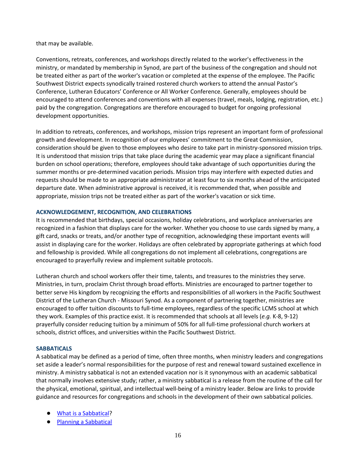that may be available.

Conventions, retreats, conferences, and workshops directly related to the worker's effectiveness in the ministry, or mandated by membership in Synod, are part of the business of the congregation and should not be treated either as part of the worker's vacation or completed at the expense of the employee. The Pacific Southwest District expects synodically trained rostered church workers to attend the annual Pastor's Conference, Lutheran Educators' Conference or All Worker Conference. Generally, employees should be encouraged to attend conferences and conventions with all expenses (travel, meals, lodging, registration, etc.) paid by the congregation. Congregations are therefore encouraged to budget for ongoing professional development opportunities.

In addition to retreats, conferences, and workshops, mission trips represent an important form of professional growth and development. In recognition of our employees' commitment to the Great Commission, consideration should be given to those employees who desire to take part in ministry-sponsored mission trips. It is understood that mission trips that take place during the academic year may place a significant financial burden on school operations; therefore, employees should take advantage of such opportunities during the summer months or pre-determined vacation periods. Mission trips may interfere with expected duties and requests should be made to an appropriate administrator at least four to six months ahead of the anticipated departure date. When administrative approval is received, it is recommended that, when possible and appropriate, mission trips not be treated either as part of the worker's vacation or sick time.

#### <span id="page-15-0"></span>**ACKNOWLEDGEMENT, RECOGNITION, AND CELEBRATIONS**

It is recommended that birthdays, special occasions, holiday celebrations, and workplace anniversaries are recognized in a fashion that displays care for the worker. Whether you choose to use cards signed by many, a gift card, snacks or treats, and/or another type of recognition, acknowledging these important events will assist in displaying care for the worker. Holidays are often celebrated by appropriate gatherings at which food and fellowship is provided. While all congregations do not implement all celebrations, congregations are encouraged to prayerfully review and implement suitable protocols.

Lutheran church and school workers offer their time, talents, and treasures to the ministries they serve. Ministries, in turn, proclaim Christ through broad efforts. Ministries are encouraged to partner together to better serve His kingdom by recognizing the efforts and responsibilities of all workers in the Pacific Southwest District of the Lutheran Church - Missouri Synod. As a component of partnering together, ministries are encouraged to offer tuition discounts to full-time employees, regardless of the specific LCMS school at which they work. Examples of this practice exist. It is recommended that schools at all levels (*e.g.* K-8, 9-12) prayerfully consider reducing tuition by a minimum of 50% for all full-time professional church workers at schools, district offices, and universities within the Pacific Southwest District.

#### <span id="page-15-1"></span>**SABBATICALS**

A sabbatical may be defined as a period of time, often three months, when ministry leaders and congregations set aside a leader's normal responsibilities for the purpose of rest and renewal toward sustained excellence in ministry. A ministry sabbatical is not an extended vacation nor is it synonymous with an academic sabbatical that normally involves extensive study; rather, a ministry sabbatical is a release from the routine of the call for the physical, emotional, spiritual, and intellectual well-being of a ministry leader. Below are links to provide guidance and resources for congregations and schools in the development of their own sabbatical policies.

- [What is a Sabbatical?](https://ministrysabbaticalresources.com/what-is-a-sabbatical%3F)
- [Planning a Sabbatical](https://ministrysabbaticalresources.com/planning-a-sabbatical)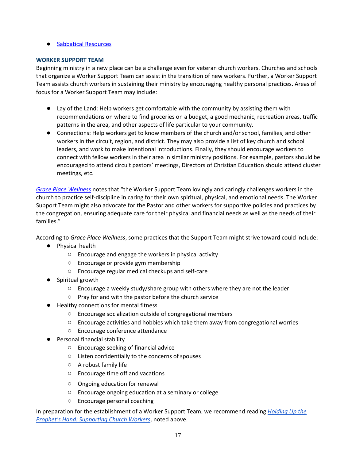#### ● [Sabbatical Resources](https://ministrysabbaticalresources.com/sabbatical-resources)

#### <span id="page-16-0"></span>**WORKER SUPPORT TEAM**

Beginning ministry in a new place can be a challenge even for veteran church workers. Churches and schools that organize a Worker Support Team can assist in the transition of new workers. Further, a Worker Support Team assists church workers in sustaining their ministry by encouraging healthy personal practices. Areas of focus for a Worker Support Team may include:

- Lay of the Land: Help workers get comfortable with the community by assisting them with recommendations on where to find groceries on a budget, a good mechanic, recreation areas, traffic patterns in the area, and other aspects of life particular to your community.
- Connections: Help workers get to know members of the church and/or school, families, and other workers in the circuit, region, and district. They may also provide a list of key church and school leaders, and work to make intentional introductions. Finally, they should encourage workers to connect with fellow workers in their area in similar ministry positions. For example, pastors should be encouraged to attend circuit pastors' meetings, Directors of Christian Education should attend cluster meetings, etc.

*[Grace Place Wellness](https://graceplacewellness.org/)* notes that "the Worker Support Team lovingly and caringly challenges workers in the church to practice self-discipline in caring for their own spiritual, physical, and emotional needs. The Worker Support Team might also advocate for the Pastor and other workers for supportive policies and practices by the congregation, ensuring adequate care for their physical and financial needs as well as the needs of their families."

According to *Grace Place Wellness*, some practices that the Support Team might strive toward could include:

- Physical health
	- Encourage and engage the workers in physical activity
	- Encourage or provide gym membership
	- Encourage regular medical checkups and self-care
- Spiritual growth
	- Encourage a weekly study/share group with others where they are not the leader
	- Pray for and with the pastor before the church service
- Healthy connections for mental fitness
	- Encourage socialization outside of congregational members
	- Encourage activities and hobbies which take them away from congregational worries
	- Encourage conference attendance
- Personal financial stability
	- Encourage seeking of financial advice
	- Listen confidentially to the concerns of spouses
	- A robust family life
	- Encourage time off and vacations
	- Ongoing education for renewal
	- Encourage ongoing education at a seminary or college
	- Encourage personal coaching

In preparation for the establishment of a Worker Support Team, we recommend reading *[Holding Up the](https://www.amazon.com/Crucial-Conversations-Talking-Stakes-Second/dp/0071771328/ref%3Dmt_paperback?_encoding=UTF8&me) [Prophet's Hand: Supporting Church Workers](https://www.amazon.com/Crucial-Conversations-Talking-Stakes-Second/dp/0071771328/ref%3Dmt_paperback?_encoding=UTF8&me)*, noted above.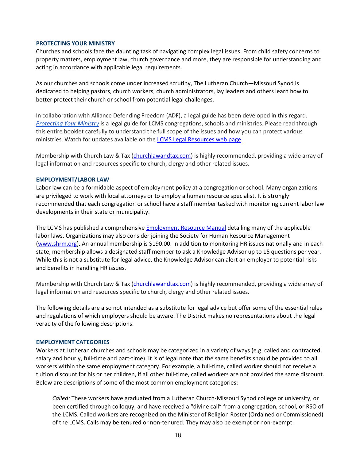#### <span id="page-17-0"></span>**PROTECTING YOUR MINISTRY**

Churches and schools face the daunting task of navigating complex legal issues. From child safety concerns to property matters, employment law, church governance and more, they are responsible for understanding and acting in accordance with applicable legal requirements.

As our churches and schools come under increased scrutiny, The Lutheran Church—Missouri Synod is dedicated to helping pastors, church workers, church administrators, lay leaders and others learn how to better protect their church or school from potential legal challenges.

In collaboration with Alliance Defending Freedom (ADF), a legal guide has been developed in this regard. *[Protecting Your Ministry](http://be5ce58c3b35ebd67cba-c941712feef4a9ea313a8383615beb0f.r3.cf2.rackcdn.com/uploaded/a/0e5350829_1471388243_adfdcaprotectyourministrylcmsscreen2016081111.pdf)* is a legal guide for LCMS congregations, schools and ministries. Please read through this entire booklet carefully to understand the full scope of the issues and how you can protect various ministries. Watch for updates available on the [LCMS Legal Resources web page.](https://www.lcms.org/resources/church-and-school-administration/legal-resources)

Membership with Church Law & Tax [\(churchlawandtax.com\)](https://www.churchlawandtax.com/) is highly recommended, providing a wide array of legal information and resources specific to church, clergy and other related issues.

#### <span id="page-17-1"></span>**EMPLOYMENT/LABOR LAW**

Labor law can be a formidable aspect of employment policy at a congregation or school. Many organizations are privileged to work with local attorneys or to employ a human resource specialist. It is strongly recommended that each congregation or school have a staff member tasked with monitoring current labor law developments in their state or municipality.

The LCMS has published a comprehensiv[e Employment Resource Manual](http://www.lcms.org/Document.fdoc?src=lcm&id=1188) detailing many of the applicable labor laws. Organizations may also consider joining the Society for Human Resource Management [\(www.shrm.org\)](https://www.shrm.org/). An annual membership is \$190.00. In addition to monitoring HR issues nationally and in each state, membership allows a designated staff member to ask a Knowledge Advisor up to 15 questions per year. While this is not a substitute for legal advice, the Knowledge Advisor can alert an employer to potential risks and benefits in handling HR issues.

Membership with Church Law & Tax [\(churchlawandtax.com\)](https://www.churchlawandtax.com/) is highly recommended, providing a wide array of legal information and resources specific to church, clergy and other related issues.

The following details are also not intended as a substitute for legal advice but offer some of the essential rules and regulations of which employers should be aware. The District makes no representations about the legal veracity of the following descriptions.

#### <span id="page-17-2"></span>**EMPLOYMENT CATEGORIES**

Workers at Lutheran churches and schools may be categorized in a variety of ways (e.g. called and contracted, salary and hourly, full-time and part-time). It is of legal note that the same benefits should be provided to all workers within the same employment category. For example, a full-time, called worker should not receive a tuition discount for his or her children, if all other full-time, called workers are not provided the same discount. Below are descriptions of some of the most common employment categories:

*Called:* These workers have graduated from a Lutheran Church-Missouri Synod college or university, or been certified through colloquy, and have received a "divine call" from a congregation, school, or RSO of the LCMS. Called workers are recognized on the Minister of Religion Roster (Ordained or Commissioned) of the LCMS. Calls may be tenured or non-tenured. They may also be exempt or non-exempt.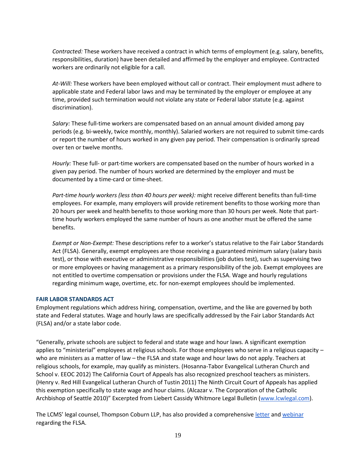*Contracted:* These workers have received a contract in which terms of employment (e.g. salary, benefits, responsibilities, duration) have been detailed and affirmed by the employer and employee. Contracted workers are ordinarily not eligible for a call.

*At-Will:* These workers have been employed without call or contract. Their employment must adhere to applicable state and Federal labor laws and may be terminated by the employer or employee at any time, provided such termination would not violate any state or Federal labor statute (e.g. against discrimination).

*Salary:* These full-time workers are compensated based on an annual amount divided among pay periods (e.g. bi-weekly, twice monthly, monthly). Salaried workers are not required to submit time-cards or report the number of hours worked in any given pay period. Their compensation is ordinarily spread over ten or twelve months.

*Hourly:* These full- or part-time workers are compensated based on the number of hours worked in a given pay period. The number of hours worked are determined by the employer and must be documented by a time-card or time-sheet.

*Part-time hourly workers (less than 40 hours per week):* might receive different benefits than full-time employees. For example, many employers will provide retirement benefits to those working more than 20 hours per week and health benefits to those working more than 30 hours per week. Note that parttime hourly workers employed the same number of hours as one another must be offered the same benefits.

*Exempt or Non-Exempt:* These descriptions refer to a worker's status relative to the Fair Labor Standards Act (FLSA). Generally, exempt employees are those receiving a guaranteed minimum salary (salary basis test), or those with executive or administrative responsibilities (job duties test), such as supervising two or more employees or having management as a primary responsibility of the job. Exempt employees are not entitled to overtime compensation or provisions under the FLSA. Wage and hourly regulations regarding minimum wage, overtime, etc. for non-exempt employees should be implemented.

#### <span id="page-18-0"></span>**FAIR LABOR STANDARDS ACT**

Employment regulations which address hiring, compensation, overtime, and the like are governed by both state and Federal statutes. Wage and hourly laws are specifically addressed by the Fair Labor Standards Act (FLSA) and/or a state labor code.

"Generally, private schools are subject to federal and state wage and hour laws. A significant exemption applies to "ministerial" employees at religious schools. For those employees who serve in a religious capacity – who are ministers as a matter of law – the FLSA and state wage and hour laws do not apply. Teachers at religious schools, for example, may qualify as ministers. (Hosanna-Tabor Evangelical Lutheran Church and School v. EEOC 2012) The California Court of Appeals has also recognized preschool teachers as ministers. (Henry v. Red Hill Evangelical Lutheran Church of Tustin 2011) The Ninth Circuit Court of Appeals has applied this exemption specifically to state wage and hour claims. (Alcazar v. The Corporation of the Catholic Archbishop of Seattle 2010)" Excerpted from Liebert Cassidy Whitmore Legal Bulletin [\(www.lcwlegal.com\)](http://www.lcwlegal.com/).

The LCMS' legal counsel, Thompson Coburn LLP, has also provided a comprehensive [letter](https://drive.google.com/open?id=0B0C4WsMLO2tuRGVZZEV1a1dJLTA) an[d webinar](http://blogs.lcms.org/2016/webinar-explains-new-overtime-regulations) regarding the FLSA.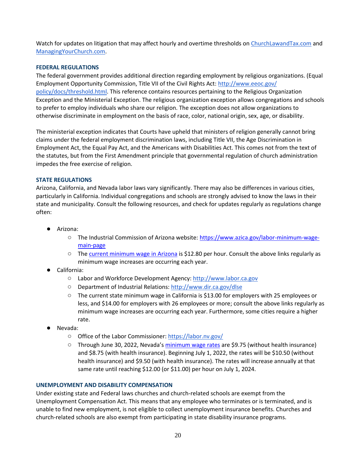Watch for updates on litigation that may affect hourly and overtime thresholds on [ChurchLawandTax.com](http://www.churchlawandtax.com/) and [ManagingYourChurch.com.](http://www.churchlawandtax.com/blog/)

#### <span id="page-19-0"></span>**FEDERAL REGULATIONS**

The federal government provides additional direction regarding employment by religious organizations. (Equal Employment Opportunity Commission, Title VII of the Civil Rights Act: [http://www.eeoc.gov/](http://www.eeoc.gov/policy/docs/threshold.html) [policy/docs/threshold.html.](http://www.eeoc.gov/policy/docs/threshold.html) This reference contains resources pertaining to the Religious Organization Exception and the Ministerial Exception. The religious organization exception allows congregations and schools to prefer to employ individuals who share our religion. The exception does not allow organizations to otherwise discriminate in employment on the basis of race, color, national origin, sex, age, or disability.

The ministerial exception indicates that Courts have upheld that ministers of religion generally cannot bring claims under the federal employment discrimination laws, including Title VII, the Age Discrimination in Employment Act, the Equal Pay Act, and the Americans with Disabilities Act. This comes not from the text of the statutes, but from the First Amendment principle that governmental regulation of church administration impedes the free exercise of religion.

#### <span id="page-19-1"></span>**STATE REGULATIONS**

Arizona, California, and Nevada labor laws vary significantly. There may also be differences in various cities, particularly in California. Individual congregations and schools are strongly advised to know the laws in their state and municipality. Consult the following resources, and check for updates regularly as regulations change often:

- Arizona:
	- The Industrial Commission of Arizona website: [https://www.azica.gov/labor-minimum-wage](https://www.azica.gov/labor-minimum-wage-main-page)[main-page](https://www.azica.gov/labor-minimum-wage-main-page)
	- The [current minimum wage in Arizona](https://www.azica.gov/sites/default/files/media/2022%20THE%20FAIR%20WAGES%20AND%20HEALTHY%20FAMILIES%20ACT.pdf) is \$12.80 per hour. Consult the above links regularly as minimum wage increases are occurring each year.
- California:
	- Labor and Workforce Development Agency: [http://www.labor.ca.gov](http://www.labor.ca.gov/)
	- Department of Industrial Relations: <http://www.dir.ca.gov/dlse>
	- The current state minimum wage in California is \$13.00 for employers with 25 employees or less, and \$14.00 for employers with 26 employees or more; consult the above links regularly as minimum wage increases are occurring each year. Furthermore, some cities require a higher rate.
- Nevada:
	- Office of the Labor Commissioner: <https://labor.nv.gov/>
	- Through June 30, 2022, Nevada's [minimum wage rates](https://www.paycor.com/resource-center/articles/minimum-wage-by-state/) are \$9.75 (without health insurance) and \$8.75 (with health insurance). Beginning July 1, 2022, the rates will be \$10.50 (without health insurance) and \$9.50 (with health insurance). The rates will increase annually at that same rate until reaching \$12.00 (or \$11.00) per hour on July 1, 2024.

#### <span id="page-19-2"></span>**UNEMPLOYMENT AND DISABILITY COMPENSATION**

Under existing state and Federal laws churches and church-related schools are exempt from the Unemployment Compensation Act. This means that any employee who terminates or is terminated, and is unable to find new employment, is not eligible to collect unemployment insurance benefits. Churches and church-related schools are also exempt from participating in state disability insurance programs.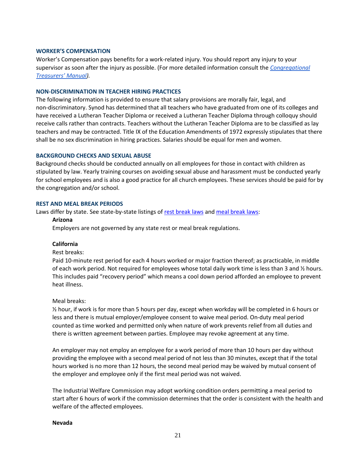#### <span id="page-20-0"></span>**WORKER'S COMPENSATION**

Worker's Compensation pays benefits for a work-related injury. You should report any injury to your supervisor as soon after the injury as possible. (For more detailed information consult the *[Congregational](http://www.lcms.org/resources/ctmanual) [Treasurers' Manual](http://www.lcms.org/resources/ctmanual)).*

#### <span id="page-20-1"></span>**NON-DISCRIMINATION IN TEACHER HIRING PRACTICES**

The following information is provided to ensure that salary provisions are morally fair, legal, and non-discriminatory. Synod has determined that all teachers who have graduated from one of its colleges and have received a Lutheran Teacher Diploma or received a Lutheran Teacher Diploma through colloquy should receive calls rather than contracts. Teachers without the Lutheran Teacher Diploma are to be classified as lay teachers and may be contracted. Title IX of the Education Amendments of 1972 expressly stipulates that there shall be no sex discrimination in hiring practices. Salaries should be equal for men and women.

#### <span id="page-20-2"></span>**BACKGROUND CHECKS AND SEXUAL ABUSE**

Background checks should be conducted annually on all employees for those in contact with children as stipulated by law. Yearly training courses on avoiding sexual abuse and harassment must be conducted yearly for school employees and is also a good practice for all church employees. These services should be paid for by the congregation and/or school.

#### <span id="page-20-3"></span>**REST AND MEAL BREAK PERIODS**

Laws differ by state. See state-by-state listings o[f rest break laws](https://www.dol.gov/agencies/whd/state/rest-periods) and [meal break laws:](https://www.dol.gov/agencies/whd/state/meal-breaks)

#### **Arizona**

Employers are not governed by any state rest or meal break regulations.

#### **California**

#### Rest breaks:

Paid 10-minute rest period for each 4 hours worked or major fraction thereof; as practicable, in middle of each work period. Not required for employees whose total daily work time is less than 3 and  $\frac{1}{2}$  hours. This includes paid "recovery period" which means a cool down period afforded an employee to prevent heat illness.

#### Meal breaks:

 $\frac{1}{2}$  hour, if work is for more than 5 hours per day, except when workday will be completed in 6 hours or less and there is mutual employer/employee consent to waive meal period. On-duty meal period counted as time worked and permitted only when nature of work prevents relief from all duties and there is written agreement between parties. Employee may revoke agreement at any time.

An employer may not employ an employee for a work period of more than 10 hours per day without providing the employee with a second meal period of not less than 30 minutes, except that if the total hours worked is no more than 12 hours, the second meal period may be waived by mutual consent of the employer and employee only if the first meal period was not waived.

The Industrial Welfare Commission may adopt working condition orders permitting a meal period to start after 6 hours of work if the commission determines that the order is consistent with the health and welfare of the affected employees.

#### **Nevada**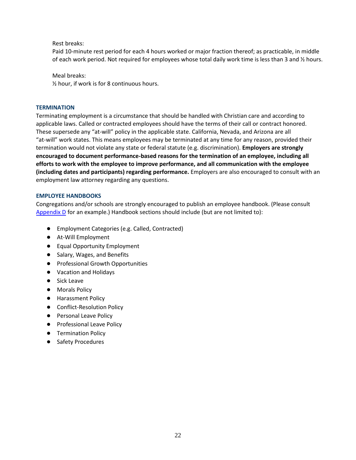Rest breaks:

Paid 10-minute rest period for each 4 hours worked or major fraction thereof; as practicable, in middle of each work period. Not required for employees whose total daily work time is less than 3 and  $\frac{1}{2}$  hours.

Meal breaks:

½ hour, if work is for 8 continuous hours.

#### <span id="page-21-0"></span>**TERMINATION**

Terminating employment is a circumstance that should be handled with Christian care and according to applicable laws. Called or contracted employees should have the terms of their call or contract honored. These supersede any "at-will" policy in the applicable state. California, Nevada, and Arizona are all "at-will" work states. This means employees may be terminated at any time for any reason, provided their termination would not violate any state or federal statute (e.g. discrimination). **Employers are strongly encouraged to document performance-based reasons for the termination of an employee, including all efforts to work with the employee to improve performance, and all communication with the employee (including dates and participants) regarding performance.** Employers are also encouraged to consult with an employment law attorney regarding any questions.

#### <span id="page-21-1"></span>**EMPLOYEE HANDBOOKS**

Congregations and/or schools are strongly encouraged to publish an employee handbook. (Please consult Appendix  $D$  for an example.) Handbook sections should include (but are not limited to):

- Employment Categories (e.g. Called, Contracted)
- At-Will Employment
- Equal Opportunity Employment
- Salary, Wages, and Benefits
- Professional Growth Opportunities
- Vacation and Holidays
- Sick Leave
- Morals Policy
- Harassment Policy
- Conflict-Resolution Policy
- Personal Leave Policy
- Professional Leave Policy
- Termination Policy
- **Safety Procedures**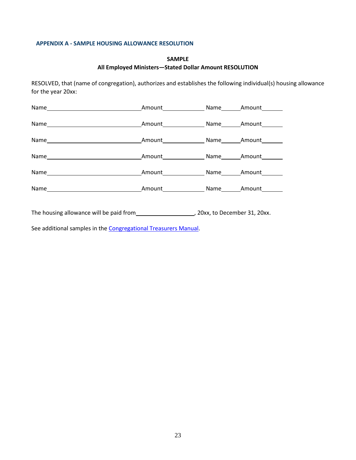#### <span id="page-22-0"></span>**APPENDIX A - SAMPLE HOUSING ALLOWANCE RESOLUTION**

#### **SAMPLE All Employed Ministers—Stated Dollar Amount RESOLUTION**

RESOLVED, that (name of congregation), authorizes and establishes the following individual(s) housing allowance for the year 20xx:

| Amount Name Amount        |  |
|---------------------------|--|
| Amount Name Amount        |  |
| Amount Name Amount        |  |
| Amount <b>Name</b> Amount |  |
| Amount Name Amount        |  |
| Amount Name Amount        |  |

The housing allowance will be paid from , 20xx, to December 31, 20xx.

See additional samples in the [Congregational Treasurers Manual.](https://files.lcms.org/file/preview/5FC615DC-DFB6-4D26-BAF0-66A605C04130?)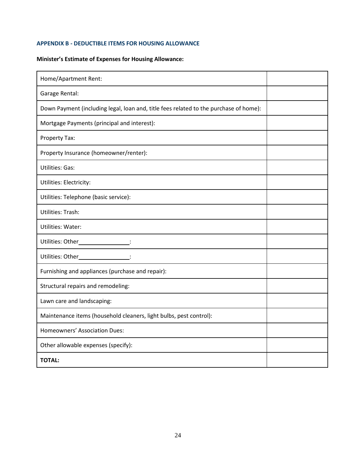#### <span id="page-23-0"></span>**APPENDIX B - DEDUCTIBLE ITEMS FOR HOUSING ALLOWANCE**

### **Minister's Estimate of Expenses for Housing Allowance:**

| Home/Apartment Rent:                                                                  |  |
|---------------------------------------------------------------------------------------|--|
| Garage Rental:                                                                        |  |
| Down Payment (including legal, loan and, title fees related to the purchase of home): |  |
| Mortgage Payments (principal and interest):                                           |  |
| Property Tax:                                                                         |  |
| Property Insurance (homeowner/renter):                                                |  |
| <b>Utilities: Gas:</b>                                                                |  |
| Utilities: Electricity:                                                               |  |
| Utilities: Telephone (basic service):                                                 |  |
| Utilities: Trash:                                                                     |  |
| Utilities: Water:                                                                     |  |
| Utilities: Other__________________:                                                   |  |
| Utilities: Other__________________:                                                   |  |
| Furnishing and appliances (purchase and repair):                                      |  |
| Structural repairs and remodeling:                                                    |  |
| Lawn care and landscaping:                                                            |  |
| Maintenance items (household cleaners, light bulbs, pest control):                    |  |
| Homeowners' Association Dues:                                                         |  |
| Other allowable expenses (specify):                                                   |  |
| <b>TOTAL:</b>                                                                         |  |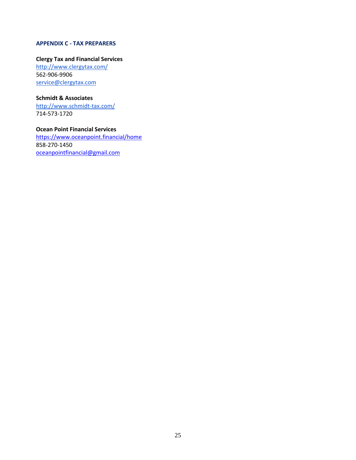#### <span id="page-24-0"></span>**APPENDIX C - TAX PREPARERS**

#### **Clergy Tax and Financial Services**

<http://www.clergytax.com/> 562-906-9906 [service@clergytax.com](mailto:service@clergytax.com)

#### **Schmidt & Associates**

<http://www.schmidt-tax.com/> 714-573-1720

#### **Ocean Point Financial Services**

<https://www.oceanpoint.financial/home> 858-270-1450 [oceanpointfinancial@gmail.com](mailto:oceanpointfinancial@gmail.com)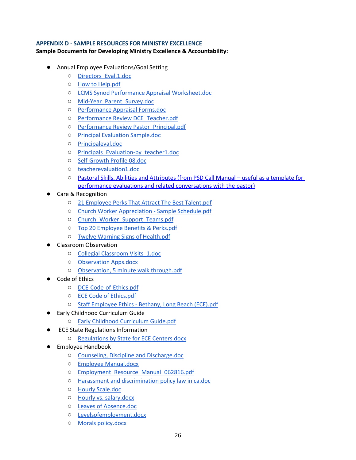#### <span id="page-25-0"></span>**APPENDIX D - SAMPLE RESOURCES FOR MINISTRY EXCELLENCE**

#### **Sample Documents for Developing Ministry Excellence & Accountability:**

- Annual Employee Evaluations/Goal Setting
	- [Directors\\_Eval.1.doc](https://drive.google.com/open?id=0B0C4WsMLO2tuX3VUZmMzTDQzdWM)
	- [How to Help.pdf](https://drive.google.com/open?id=0B0C4WsMLO2tuNFdUaUtwS21DcE0)
	- [LCMS Synod Performance Appraisal Worksheet.doc](https://drive.google.com/open?id=0B0C4WsMLO2tuRWh6WlFRWVFlT3M)
	- [Mid-Year\\_Parent\\_Survey.doc](https://drive.google.com/open?id=0B0C4WsMLO2tuX0U0Yzh5RlFfSzA)
	- [Performance Appraisal Forms.doc](https://drive.google.com/open?id=0B0C4WsMLO2tucUxfLUtLOFlYS0k)
	- [Performance Review DCE\\_Teacher.pdf](https://drive.google.com/open?id=0B0C4WsMLO2tuTUtxYm1zRmdDMWM)
	- [Performance Review Pastor\\_Principal.pdf](https://drive.google.com/open?id=0B0C4WsMLO2tuUU56VkNKV2g0eFk)
	- [Principal Evaluation Sample.doc](https://drive.google.com/open?id=0B0C4WsMLO2tuMml1OXpoYVkxZFk)
	- [Principaleval.doc](https://drive.google.com/open?id=0B0C4WsMLO2tuZ1pBQ0JnaVdQdlU)
	- [Principals\\_Evaluation-by\\_teacher1.doc](https://drive.google.com/open?id=0B0C4WsMLO2tuajByNTl6SDVaV28)
	- [Self-Growth Profile 08.doc](https://drive.google.com/open?id=0B0C4WsMLO2tuU2R2aHF1dkhJY2M)
	- [teacherevaluation1.doc](https://drive.google.com/open?id=0B0C4WsMLO2tuSzY5WUREZFBGQVU)
	- [Pastoral Skills, Abilities and Attributes \(from PSD Call Manual](https://d68e31a0-2995-44ed-88ab-d270ba68551c.filesusr.com/ugd/cf12e5_8485574dfc194b7eacef1db5d9fd79ef.pdf)  useful as a template for [performance evaluations and related conversations with the pastor\)](https://d68e31a0-2995-44ed-88ab-d270ba68551c.filesusr.com/ugd/cf12e5_8485574dfc194b7eacef1db5d9fd79ef.pdf)
- Care & Recognition
	- [21 Employee Perks That Attract The Best Talent.pdf](https://drive.google.com/open?id=0B0C4WsMLO2tuNmU0U1NLaHFoQ2M)
	- [Church Worker Appreciation -](https://drive.google.com/open?id=0B0C4WsMLO2tuOWF3Qno2cW9Tc1E) Sample Schedule.pdf
	- [Church\\_Worker\\_Support\\_Teams.pdf](https://drive.google.com/open?id=0B0C4WsMLO2tuNEFsTWlRek5xUms)
	- [Top 20 Employee Benefits & Perks.pdf](https://drive.google.com/open?id=0B0C4WsMLO2tuVFR3VnNwQzh1ZDg)
	- [Twelve Warning Signs of Health.pdf](https://drive.google.com/open?id=0B0C4WsMLO2tuenFLWlN2eXFZMU0)
- Classroom Observation
	- [Collegial Classroom Visits\\_1.doc](https://drive.google.com/open?id=0B0C4WsMLO2tuM0RDaUFIM0VwQ00)
	- [Observation Apps.docx](https://drive.google.com/open?id=0B0C4WsMLO2tubzJuRTFJYXVuRUU)
	- [Observation, 5 minute walk through.pdf](https://drive.google.com/open?id=0B0C4WsMLO2tuYkY5LVo4Z0ZxNmM)
- Code of Ethics
	- [DCE-Code-of-Ethics.pdf](https://drive.google.com/open?id=0B0C4WsMLO2tuY2pkcmdLMURsbGc)
	- [ECE Code of Ethics.pdf](https://drive.google.com/open?id=0B0C4WsMLO2tuUHNtVnpHVGF2ejQ)
	- Staff Employee Ethics [Bethany, Long Beach \(ECE\).pdf](https://drive.google.com/open?id=0B0C4WsMLO2tuTGRVNmxYazBRSm8)
- Early Childhood Curriculum Guide
	- [Early Childhood Curriculum Guide.pdf](https://drive.google.com/open?id=0B0C4WsMLO2tuTmRJakxUUXVLRlU)
- **ECE State Regulations Information** 
	- [Regulations by State for ECE Centers.docx](https://drive.google.com/open?id=0B0C4WsMLO2tuN0xRU09qa0wzbnM)
- Employee Handbook
	- [Counseling, Discipline and Discharge.doc](https://drive.google.com/open?id=0B3rOg77dgAmIMi0tdWZZbGw3cGM)
	- [Employee Manual.docx](https://drive.google.com/open?id=0B3rOg77dgAmIY3BvVmpISkkxamc)
	- [Employment\\_Resource\\_Manual\\_062816.pdf](https://drive.google.com/open?id=0B3rOg77dgAmIZExmcm5pOFMwVkU)
	- [Harassment and discrimination policy law in ca.doc](https://drive.google.com/open?id=0B0C4WsMLO2tueWxwcUxoekZkYk0)
	- [Hourly Scale.doc](https://drive.google.com/open?id=0B0C4WsMLO2tucC1ZV21BMWxEZTA)
	- [Hourly vs. salary.docx](https://drive.google.com/open?id=0B0C4WsMLO2tuak9jVlRIbE9NV1E)
	- [Leaves of Absence.doc](https://drive.google.com/open?id=0B3rOg77dgAmIMmRGSmVpTlF4bDQ)
	- [Levelsofemployment.docx](https://drive.google.com/open?id=0B0C4WsMLO2tuMTd2WTdfNzdndlE)
	- [Morals policy.docx](https://drive.google.com/open?id=0B0C4WsMLO2tuU0tMOWEwRzh6TVE)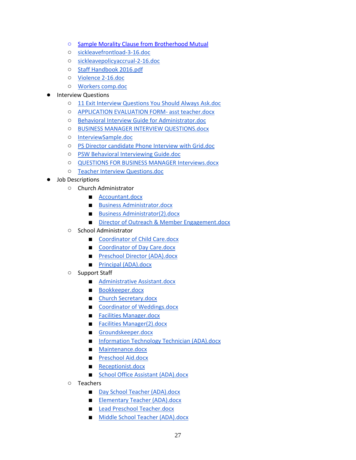- [Sample Morality Clause from Brotherhood Mutual](https://www.brotherhoodmutual.com/resources/safety-library/risk-management-forms/employment-policy-morals-clause/)
- [sickleavefrontload-3-16.doc](https://drive.google.com/open?id=0B3rOg77dgAmIRDZwRGJoT3VPeGc)
- [sickleavepolicyaccrual-2-16.doc](https://drive.google.com/open?id=0B3rOg77dgAmIVG4tamNBejZvN2c)
- [Staff Handbook 2016.pdf](https://drive.google.com/open?id=0B0C4WsMLO2tuOWcxdmZjamtxV3M)
- [Violence 2-16.doc](https://drive.google.com/open?id=0B0C4WsMLO2tuc1RQclgxdEdFQ00)
- [Workers comp.doc](https://drive.google.com/open?id=0B0C4WsMLO2tueV82a2dzVndISkE)

#### **Interview Questions**

- [11 Exit Interview Questions You Should Always Ask.doc](https://drive.google.com/open?id=0B0C4WsMLO2tuTE9vVFBqU1ZTdnM)
- [APPLICATION EVALUATION FORM-](https://drive.google.com/open?id=0B0C4WsMLO2tuVnBrXzhzWDJsams) asst teacher.docx
- [Behavioral Interview Guide for Administrator.doc](https://drive.google.com/open?id=0B0C4WsMLO2tud0xuWW4yZWxHTlE)
- [BUSINESS MANAGER INTERVIEW QUESTIONS.docx](https://drive.google.com/open?id=0B0C4WsMLO2tucWJ2RjMwNmttbkU)
- [InterviewSample.doc](https://drive.google.com/open?id=0B0C4WsMLO2tueGZXb2VnMFgxNlk)
- [PS Director candidate Phone Interview with Grid.doc](https://drive.google.com/open?id=0B0C4WsMLO2tuYU9vNkFMb3laTzg)
- [PSW Behavioral Interviewing Guide.doc](https://drive.google.com/open?id=0B0C4WsMLO2tuNng1Y3JsQ1JTRjg)
- [QUESTIONS FOR BUSINESS MANAGER Interviews.docx](https://drive.google.com/open?id=0B0C4WsMLO2tuWkdSNEZrS0JsOXc)
- [Teacher Interview Questions.doc](https://drive.google.com/open?id=0B0C4WsMLO2tueUhxS2VmdHM0Ums)
- Job Descriptions
	- Church Administrator
		- [Accountant.docx](https://drive.google.com/open?id=0B0C4WsMLO2tuTHJxV2xEMDlsN3M)
		- [Business Administrator.docx](https://drive.google.com/open?id=0B0C4WsMLO2tuZWJseFpOLVJadFE)
		- [Business Administrator\(2\).docx](https://drive.google.com/open?id=0B0C4WsMLO2tuLWw4OG01djBaMkE)
		- [Director of Outreach & Member Engagement.docx](https://drive.google.com/open?id=0B0C4WsMLO2tuZmFfbExtekl6bDQ)
	- School Administrator
		- [Coordinator of Child Care.docx](https://drive.google.com/open?id=0B0C4WsMLO2tuazJPYjR3QmY2RVE)
		- [Coordinator of Day Care.docx](https://drive.google.com/open?id=0B0C4WsMLO2tuOHlWQ0JXaEZkelU)
		- [Preschool Director \(ADA\).docx](https://drive.google.com/open?id=0B0C4WsMLO2tuOVl6WUZlWnVnRzQ)
		- [Principal \(ADA\).docx](https://drive.google.com/open?id=0B0C4WsMLO2tub0txN184Y0tnM3M)
	- Support Staff
		- [Administrative Assistant.docx](https://drive.google.com/open?id=0B0C4WsMLO2tuZXYybmdZdTF6UE0)
		- [Bookkeeper.docx](https://drive.google.com/open?id=0B0C4WsMLO2tuNzlaYTdJMy1ZYnM)
		- [Church Secretary.docx](https://drive.google.com/open?id=0B0C4WsMLO2tudzBmY2R3ejJzV3M)
		- [Coordinator of Weddings.docx](https://drive.google.com/open?id=0B0C4WsMLO2tuTmVBYm9seUxpVlE)
		- [Facilities Manager.docx](https://drive.google.com/open?id=0B0C4WsMLO2tuOHM2dllHM3M2Z00)
		- [Facilities Manager\(2\).docx](https://drive.google.com/open?id=0B0C4WsMLO2tubV9OLTE2UnRlTDg)
		- [Groundskeeper.docx](https://drive.google.com/open?id=0B0C4WsMLO2tuUndQNENjZ011UTQ)
		- [Information Technology Technician \(ADA\).docx](https://drive.google.com/open?id=0B0C4WsMLO2tuSWNINVVpcG8wZU0)
		- [Maintenance.docx](https://drive.google.com/open?id=0B0C4WsMLO2tuOGQ1Mi0tQVc2Tnc)
		- [Preschool Aid.docx](https://drive.google.com/open?id=0B0C4WsMLO2tuaG1EbzExeTlXc1k)
		- [Receptionist.docx](https://drive.google.com/open?id=0B0C4WsMLO2tuRXRXOVZOdmJ4QmM)
		- [School Office Assistant \(ADA\).docx](https://drive.google.com/open?id=0B0C4WsMLO2tuWUJ3Sk91b0xhSVE)
	- Teachers
		- [Day School Teacher \(ADA\).docx](https://drive.google.com/open?id=0B0C4WsMLO2tuZkwxeGpOX1Y5Nzg)
		- [Elementary Teacher \(ADA\).docx](https://drive.google.com/open?id=0B0C4WsMLO2tucnNMWF9mZHlERjg)
		- [Lead Preschool Teacher.docx](https://drive.google.com/open?id=0B0C4WsMLO2tuRzVEdnpJR0tWZFE)
		- [Middle School Teacher \(ADA\).docx](https://drive.google.com/open?id=0B0C4WsMLO2tuRXNSTzB6QWFJQkk)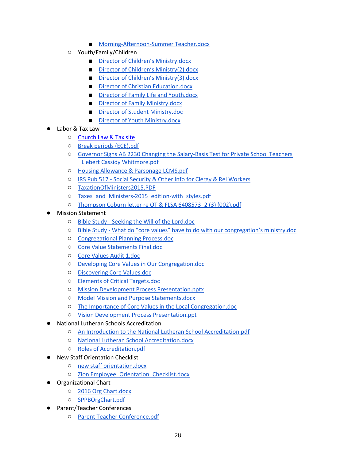- [Morning-Afternoon-Summer Teacher.docx](https://drive.google.com/open?id=0B0C4WsMLO2tucXdUOW1OWWY3eGc)
- Youth/Family/Children
	- [Director of Children's Ministry.docx](https://drive.google.com/open?id=0B0C4WsMLO2tuaEFHalNnc3RYSkE)
	- [Director of Children's Ministry\(2\).docx](https://drive.google.com/open?id=0B0C4WsMLO2tuLTNRUGt3Mkl5MHc)
	- [Director of Children's Ministry\(3\).docx](https://drive.google.com/open?id=0B0C4WsMLO2tublFkZWMxRjgxaTA)
	- [Director of Christian Education.docx](https://drive.google.com/open?id=0B0C4WsMLO2tuRGNBR1EtX1VWXzQ)
	- [Director of Family Life and Youth.docx](https://drive.google.com/open?id=0B0C4WsMLO2tuVTVkYVlVQjRUVVE)
	- [Director of Family Ministry.docx](https://drive.google.com/open?id=0B0C4WsMLO2tud09GQWN2SVVabDQ)
	- [Director of Student Ministry.doc](https://drive.google.com/open?id=0B0C4WsMLO2tud0FXSlY5WnJOWU0)
	- [Director of Youth Ministry.docx](https://drive.google.com/open?id=0B0C4WsMLO2tueTRxSWpWM2dxQWs)
- Labor & Tax Law
	- [Church Law & Tax site](https://www.churchlawandtax.com/)
	- [Break periods \(ECE\).pdf](https://drive.google.com/open?id=0B0C4WsMLO2tuekRSV2U1VkFCc2M)
	- [Governor Signs AB 2230 Changing the Salary-Basis Test for Private School](https://drive.google.com/open?id=0B0C4WsMLO2tuRENuUWhibEV3dFU) Teachers [\\_Liebert Cassidy Whitmore.pdf](https://drive.google.com/open?id=0B0C4WsMLO2tuRENuUWhibEV3dFU)
	- [Housing Allowance & Parsonage LCMS.pdf](https://drive.google.com/open?id=0B3rOg77dgAmIcW9tVVVVWXhTWlU)
	- IRS Pub 517 [Social Security & Other Info for Clergy & Rel Workers](https://www.irs.gov/pub/irs-pdf/p517.pdf)
	- [TaxationOfMinisters2015.PDF](https://drive.google.com/open?id=0B0C4WsMLO2tuMVFfaDRsc3pvRlU)
	- [Taxes\\_and\\_Ministers-2015\\_edition-with\\_styles.pdf](https://drive.google.com/open?id=0B0C4WsMLO2tuUFdfdTRYM1B5SVk)
	- [Thompson Coburn letter re OT & FLSA 6408573\\_2 \(3\) \(002\).pdf](https://drive.google.com/open?id=0B0C4WsMLO2tuRGVZZEV1a1dJLTA)
- **Mission Statement** 
	- Bible Study [Seeking the Will of the Lord.doc](https://drive.google.com/open?id=0B3rOg77dgAmISVFXR1NJNVZZNFU)
	- Bible Study [What do "core values" have to do with our congregation's ministry.doc](https://drive.google.com/open?id=0B3rOg77dgAmIQkNnOUtGWGJIcUk)
	- [Congregational Planning Process.doc](https://drive.google.com/open?id=0B3rOg77dgAmIZVNkVG5WTERsVms)
	- [Core Value Statements Final.doc](https://drive.google.com/open?id=0B3rOg77dgAmIR091M0V0UEhwVms)
	- [Core Values Audit 1.doc](https://drive.google.com/open?id=0B3rOg77dgAmIek9CTThaa0o4MDg)
	- [Developing Core Values in Our Congregation.doc](https://drive.google.com/open?id=0B3rOg77dgAmIYkp1Z3NJWEEweVE)
	- [Discovering Core Values.doc](https://drive.google.com/open?id=0B3rOg77dgAmIRXRPWGh1ejRreVk)
	- [Elements of Critical Targets.doc](https://drive.google.com/open?id=0B3rOg77dgAmIWmxpUVdmZzZtbmM)
	- [Mission Development Process Presentation.pptx](https://drive.google.com/open?id=0B3rOg77dgAmIektfLXp0S09aeDQ)
	- [Model Mission and Purpose Statements.docx](https://drive.google.com/open?id=0B0C4WsMLO2tuRkdTMXhWcGpyZXc)
	- [The Importance of Core Values in the Local Congregation.doc](https://drive.google.com/open?id=0B3rOg77dgAmIV3BqYTZwRG5nT3c)
	- [Vision Development Process Presentation.ppt](https://drive.google.com/open?id=0B3rOg77dgAmIV0xSYXNWZEVWX1E)
- **National Lutheran Schools Accreditation** 
	- [An Introduction to the National Lutheran School Accreditation.pdf](https://drive.google.com/open?id=0B0C4WsMLO2tuaXFhVVRpcFlMSG8)
	- [National Lutheran School Accreditation.docx](https://drive.google.com/open?id=0B0C4WsMLO2tuTG1sejVuT0tqRG8)
	- [Roles of Accreditation.pdf](https://drive.google.com/open?id=0B0C4WsMLO2tuYUFVcTlZSjNUVUU)
	- **New Staff Orientation Checklist** 
		- [new staff orientation.docx](https://drive.google.com/open?id=0B0C4WsMLO2tuTllQYk9xOXlBbXM)
		- [Zion Employee\\_Orientation\\_Checklist.docx](https://drive.google.com/open?id=0B0C4WsMLO2tuMjNDcDdORmRhQUU)
- Organizational Chart
	- [2016 Org Chart.docx](https://drive.google.com/open?id=0B0C4WsMLO2tuUFVkTDg2Sm9EWmM)
	- [SPPBOrgChart.pdf](https://drive.google.com/open?id=0B0C4WsMLO2tubS1FY0tSZl9QQ00)
- Parent/Teacher Conferences
	- [Parent Teacher Conference.pdf](https://drive.google.com/open?id=0B0C4WsMLO2tuMEhIcjhTaWhSbVE)